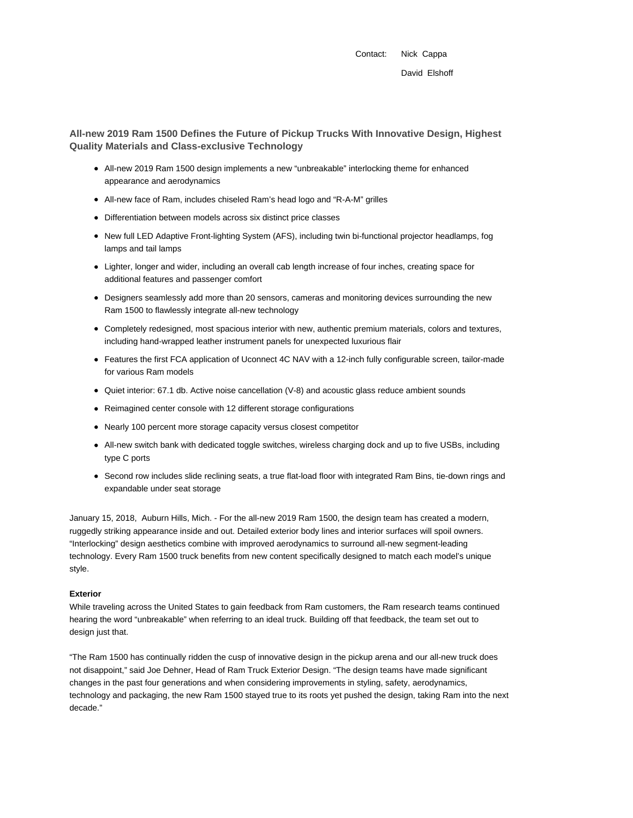Contact: Nick Cappa

**All-new 2019 Ram 1500 Defines the Future of Pickup Trucks With Innovative Design, Highest Quality Materials and Class-exclusive Technology**

- All-new 2019 Ram 1500 design implements a new "unbreakable" interlocking theme for enhanced appearance and aerodynamics
- All-new face of Ram, includes chiseled Ram's head logo and "R-A-M" grilles
- Differentiation between models across six distinct price classes
- New full LED Adaptive Front-lighting System (AFS), including twin bi-functional projector headlamps, fog lamps and tail lamps
- Lighter, longer and wider, including an overall cab length increase of four inches, creating space for additional features and passenger comfort
- Designers seamlessly add more than 20 sensors, cameras and monitoring devices surrounding the new Ram 1500 to flawlessly integrate all-new technology
- Completely redesigned, most spacious interior with new, authentic premium materials, colors and textures, including hand-wrapped leather instrument panels for unexpected luxurious flair
- Features the first FCA application of Uconnect 4C NAV with a 12-inch fully configurable screen, tailor-made for various Ram models
- Quiet interior: 67.1 db. Active noise cancellation (V-8) and acoustic glass reduce ambient sounds
- Reimagined center console with 12 different storage configurations
- Nearly 100 percent more storage capacity versus closest competitor
- All-new switch bank with dedicated toggle switches, wireless charging dock and up to five USBs, including type C ports
- Second row includes slide reclining seats, a true flat-load floor with integrated Ram Bins, tie-down rings and expandable under seat storage

January 15, 2018, Auburn Hills, Mich. - For the all-new 2019 Ram 1500, the design team has created a modern, ruggedly striking appearance inside and out. Detailed exterior body lines and interior surfaces will spoil owners. "Interlocking" design aesthetics combine with improved aerodynamics to surround all-new segment-leading technology. Every Ram 1500 truck benefits from new content specifically designed to match each model's unique style.

### **Exterior**

While traveling across the United States to gain feedback from Ram customers, the Ram research teams continued hearing the word "unbreakable" when referring to an ideal truck. Building off that feedback, the team set out to design just that.

"The Ram 1500 has continually ridden the cusp of innovative design in the pickup arena and our all-new truck does not disappoint," said Joe Dehner, Head of Ram Truck Exterior Design. "The design teams have made significant changes in the past four generations and when considering improvements in styling, safety, aerodynamics, technology and packaging, the new Ram 1500 stayed true to its roots yet pushed the design, taking Ram into the next decade."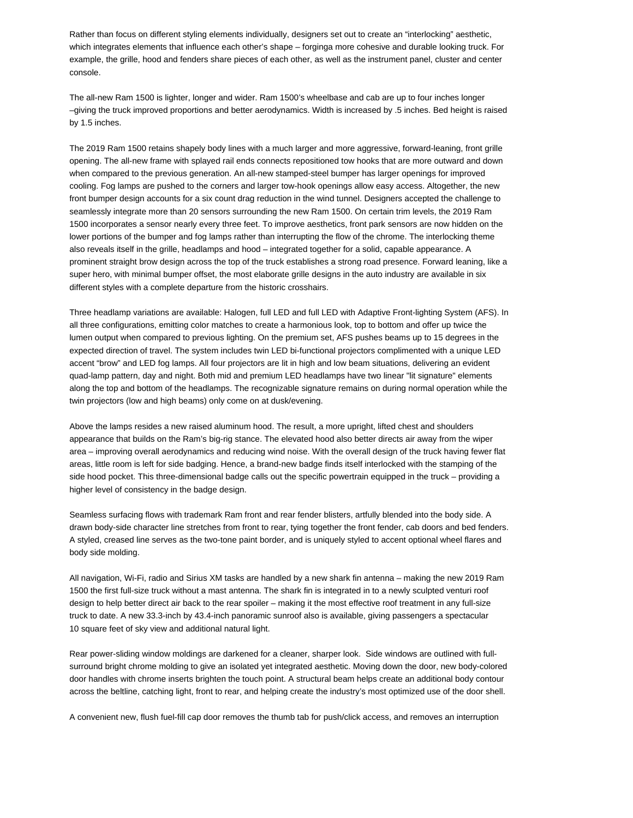Rather than focus on different styling elements individually, designers set out to create an "interlocking" aesthetic, which integrates elements that influence each other's shape – forginga more cohesive and durable looking truck. For example, the grille, hood and fenders share pieces of each other, as well as the instrument panel, cluster and center console.

The all-new Ram 1500 is lighter, longer and wider. Ram 1500's wheelbase and cab are up to four inches longer –giving the truck improved proportions and better aerodynamics. Width is increased by .5 inches. Bed height is raised by 1.5 inches.

The 2019 Ram 1500 retains shapely body lines with a much larger and more aggressive, forward-leaning, front grille opening. The all-new frame with splayed rail ends connects repositioned tow hooks that are more outward and down when compared to the previous generation. An all-new stamped-steel bumper has larger openings for improved cooling. Fog lamps are pushed to the corners and larger tow-hook openings allow easy access. Altogether, the new front bumper design accounts for a six count drag reduction in the wind tunnel. Designers accepted the challenge to seamlessly integrate more than 20 sensors surrounding the new Ram 1500. On certain trim levels, the 2019 Ram 1500 incorporates a sensor nearly every three feet. To improve aesthetics, front park sensors are now hidden on the lower portions of the bumper and fog lamps rather than interrupting the flow of the chrome. The interlocking theme also reveals itself in the grille, headlamps and hood – integrated together for a solid, capable appearance. A prominent straight brow design across the top of the truck establishes a strong road presence. Forward leaning, like a super hero, with minimal bumper offset, the most elaborate grille designs in the auto industry are available in six different styles with a complete departure from the historic crosshairs.

Three headlamp variations are available: Halogen, full LED and full LED with Adaptive Front-lighting System (AFS). In all three configurations, emitting color matches to create a harmonious look, top to bottom and offer up twice the lumen output when compared to previous lighting. On the premium set, AFS pushes beams up to 15 degrees in the expected direction of travel. The system includes twin LED bi-functional projectors complimented with a unique LED accent "brow" and LED fog lamps. All four projectors are lit in high and low beam situations, delivering an evident quad-lamp pattern, day and night. Both mid and premium LED headlamps have two linear "lit signature" elements along the top and bottom of the headlamps. The recognizable signature remains on during normal operation while the twin projectors (low and high beams) only come on at dusk/evening.

Above the lamps resides a new raised aluminum hood. The result, a more upright, lifted chest and shoulders appearance that builds on the Ram's big-rig stance. The elevated hood also better directs air away from the wiper area – improving overall aerodynamics and reducing wind noise. With the overall design of the truck having fewer flat areas, little room is left for side badging. Hence, a brand-new badge finds itself interlocked with the stamping of the side hood pocket. This three-dimensional badge calls out the specific powertrain equipped in the truck – providing a higher level of consistency in the badge design.

Seamless surfacing flows with trademark Ram front and rear fender blisters, artfully blended into the body side. A drawn body-side character line stretches from front to rear, tying together the front fender, cab doors and bed fenders. A styled, creased line serves as the two-tone paint border, and is uniquely styled to accent optional wheel flares and body side molding.

All navigation, Wi-Fi, radio and Sirius XM tasks are handled by a new shark fin antenna – making the new 2019 Ram 1500 the first full-size truck without a mast antenna. The shark fin is integrated in to a newly sculpted venturi roof design to help better direct air back to the rear spoiler – making it the most effective roof treatment in any full-size truck to date. A new 33.3-inch by 43.4-inch panoramic sunroof also is available, giving passengers a spectacular 10 square feet of sky view and additional natural light.

Rear power-sliding window moldings are darkened for a cleaner, sharper look. Side windows are outlined with fullsurround bright chrome molding to give an isolated yet integrated aesthetic. Moving down the door, new body-colored door handles with chrome inserts brighten the touch point. A structural beam helps create an additional body contour across the beltline, catching light, front to rear, and helping create the industry's most optimized use of the door shell.

A convenient new, flush fuel-fill cap door removes the thumb tab for push/click access, and removes an interruption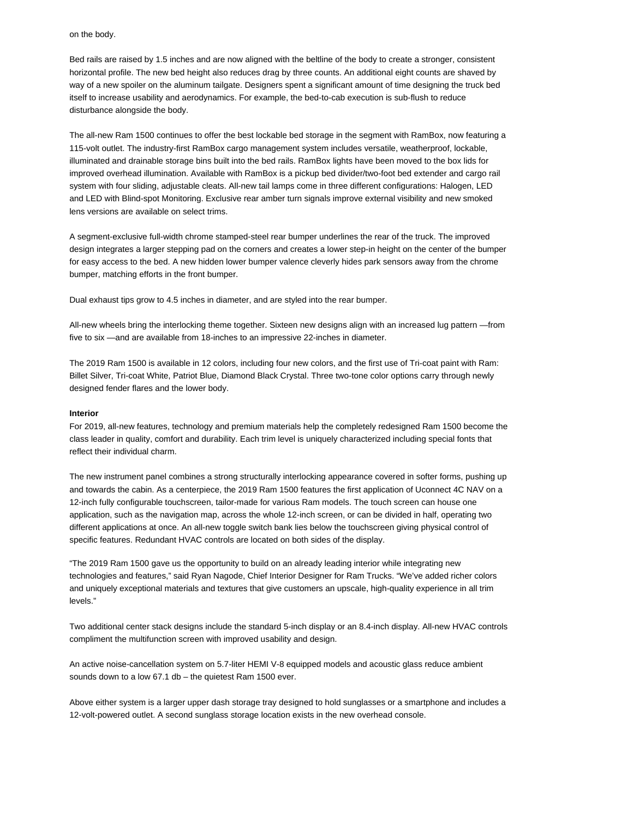# on the body.

Bed rails are raised by 1.5 inches and are now aligned with the beltline of the body to create a stronger, consistent horizontal profile. The new bed height also reduces drag by three counts. An additional eight counts are shaved by way of a new spoiler on the aluminum tailgate. Designers spent a significant amount of time designing the truck bed itself to increase usability and aerodynamics. For example, the bed-to-cab execution is sub-flush to reduce disturbance alongside the body.

The all-new Ram 1500 continues to offer the best lockable bed storage in the segment with RamBox, now featuring a 115-volt outlet. The industry-first RamBox cargo management system includes versatile, weatherproof, lockable, illuminated and drainable storage bins built into the bed rails. RamBox lights have been moved to the box lids for improved overhead illumination. Available with RamBox is a pickup bed divider/two-foot bed extender and cargo rail system with four sliding, adjustable cleats. All-new tail lamps come in three different configurations: Halogen, LED and LED with Blind-spot Monitoring. Exclusive rear amber turn signals improve external visibility and new smoked lens versions are available on select trims.

A segment-exclusive full-width chrome stamped-steel rear bumper underlines the rear of the truck. The improved design integrates a larger stepping pad on the corners and creates a lower step-in height on the center of the bumper for easy access to the bed. A new hidden lower bumper valence cleverly hides park sensors away from the chrome bumper, matching efforts in the front bumper.

Dual exhaust tips grow to 4.5 inches in diameter, and are styled into the rear bumper.

All-new wheels bring the interlocking theme together. Sixteen new designs align with an increased lug pattern —from five to six —and are available from 18-inches to an impressive 22-inches in diameter.

The 2019 Ram 1500 is available in 12 colors, including four new colors, and the first use of Tri-coat paint with Ram: Billet Silver, Tri-coat White, Patriot Blue, Diamond Black Crystal. Three two-tone color options carry through newly designed fender flares and the lower body.

#### **Interior**

For 2019, all-new features, technology and premium materials help the completely redesigned Ram 1500 become the class leader in quality, comfort and durability. Each trim level is uniquely characterized including special fonts that reflect their individual charm.

The new instrument panel combines a strong structurally interlocking appearance covered in softer forms, pushing up and towards the cabin. As a centerpiece, the 2019 Ram 1500 features the first application of Uconnect 4C NAV on a 12-inch fully configurable touchscreen, tailor-made for various Ram models. The touch screen can house one application, such as the navigation map, across the whole 12-inch screen, or can be divided in half, operating two different applications at once. An all-new toggle switch bank lies below the touchscreen giving physical control of specific features. Redundant HVAC controls are located on both sides of the display.

"The 2019 Ram 1500 gave us the opportunity to build on an already leading interior while integrating new technologies and features," said Ryan Nagode, Chief Interior Designer for Ram Trucks. "We've added richer colors and uniquely exceptional materials and textures that give customers an upscale, high-quality experience in all trim levels."

Two additional center stack designs include the standard 5-inch display or an 8.4-inch display. All-new HVAC controls compliment the multifunction screen with improved usability and design.

An active noise-cancellation system on 5.7-liter HEMI V-8 equipped models and acoustic glass reduce ambient sounds down to a low 67.1 db – the quietest Ram 1500 ever.

Above either system is a larger upper dash storage tray designed to hold sunglasses or a smartphone and includes a 12-volt-powered outlet. A second sunglass storage location exists in the new overhead console.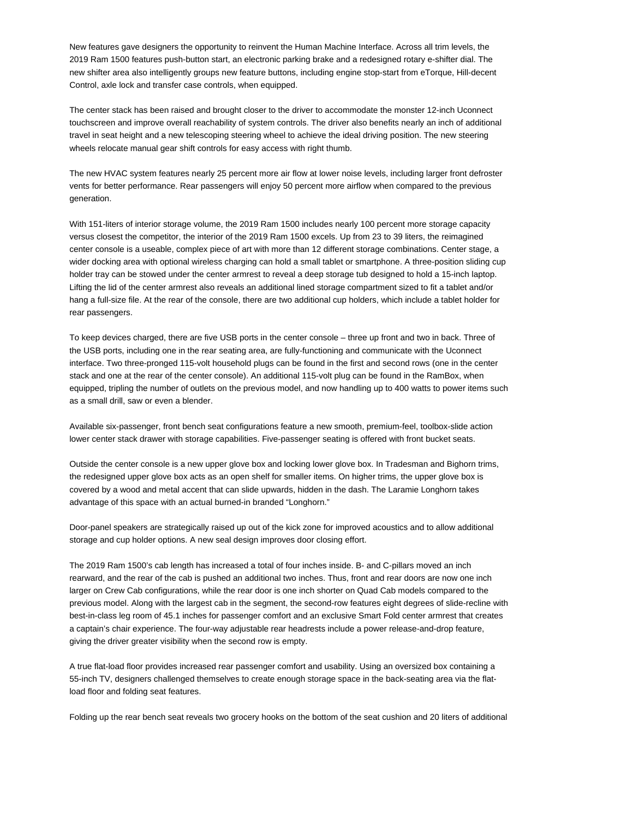New features gave designers the opportunity to reinvent the Human Machine Interface. Across all trim levels, the 2019 Ram 1500 features push-button start, an electronic parking brake and a redesigned rotary e-shifter dial. The new shifter area also intelligently groups new feature buttons, including engine stop-start from eTorque, Hill-decent Control, axle lock and transfer case controls, when equipped.

The center stack has been raised and brought closer to the driver to accommodate the monster 12-inch Uconnect touchscreen and improve overall reachability of system controls. The driver also benefits nearly an inch of additional travel in seat height and a new telescoping steering wheel to achieve the ideal driving position. The new steering wheels relocate manual gear shift controls for easy access with right thumb.

The new HVAC system features nearly 25 percent more air flow at lower noise levels, including larger front defroster vents for better performance. Rear passengers will enjoy 50 percent more airflow when compared to the previous generation.

With 151-liters of interior storage volume, the 2019 Ram 1500 includes nearly 100 percent more storage capacity versus closest the competitor, the interior of the 2019 Ram 1500 excels. Up from 23 to 39 liters, the reimagined center console is a useable, complex piece of art with more than 12 different storage combinations. Center stage, a wider docking area with optional wireless charging can hold a small tablet or smartphone. A three-position sliding cup holder tray can be stowed under the center armrest to reveal a deep storage tub designed to hold a 15-inch laptop. Lifting the lid of the center armrest also reveals an additional lined storage compartment sized to fit a tablet and/or hang a full-size file. At the rear of the console, there are two additional cup holders, which include a tablet holder for rear passengers.

To keep devices charged, there are five USB ports in the center console – three up front and two in back. Three of the USB ports, including one in the rear seating area, are fully-functioning and communicate with the Uconnect interface. Two three-pronged 115-volt household plugs can be found in the first and second rows (one in the center stack and one at the rear of the center console). An additional 115-volt plug can be found in the RamBox, when equipped, tripling the number of outlets on the previous model, and now handling up to 400 watts to power items such as a small drill, saw or even a blender.

Available six-passenger, front bench seat configurations feature a new smooth, premium-feel, toolbox-slide action lower center stack drawer with storage capabilities. Five-passenger seating is offered with front bucket seats.

Outside the center console is a new upper glove box and locking lower glove box. In Tradesman and Bighorn trims, the redesigned upper glove box acts as an open shelf for smaller items. On higher trims, the upper glove box is covered by a wood and metal accent that can slide upwards, hidden in the dash. The Laramie Longhorn takes advantage of this space with an actual burned-in branded "Longhorn."

Door-panel speakers are strategically raised up out of the kick zone for improved acoustics and to allow additional storage and cup holder options. A new seal design improves door closing effort.

The 2019 Ram 1500's cab length has increased a total of four inches inside. B- and C-pillars moved an inch rearward, and the rear of the cab is pushed an additional two inches. Thus, front and rear doors are now one inch larger on Crew Cab configurations, while the rear door is one inch shorter on Quad Cab models compared to the previous model. Along with the largest cab in the segment, the second-row features eight degrees of slide-recline with best-in-class leg room of 45.1 inches for passenger comfort and an exclusive Smart Fold center armrest that creates a captain's chair experience. The four-way adjustable rear headrests include a power release-and-drop feature, giving the driver greater visibility when the second row is empty.

A true flat-load floor provides increased rear passenger comfort and usability. Using an oversized box containing a 55-inch TV, designers challenged themselves to create enough storage space in the back-seating area via the flatload floor and folding seat features.

Folding up the rear bench seat reveals two grocery hooks on the bottom of the seat cushion and 20 liters of additional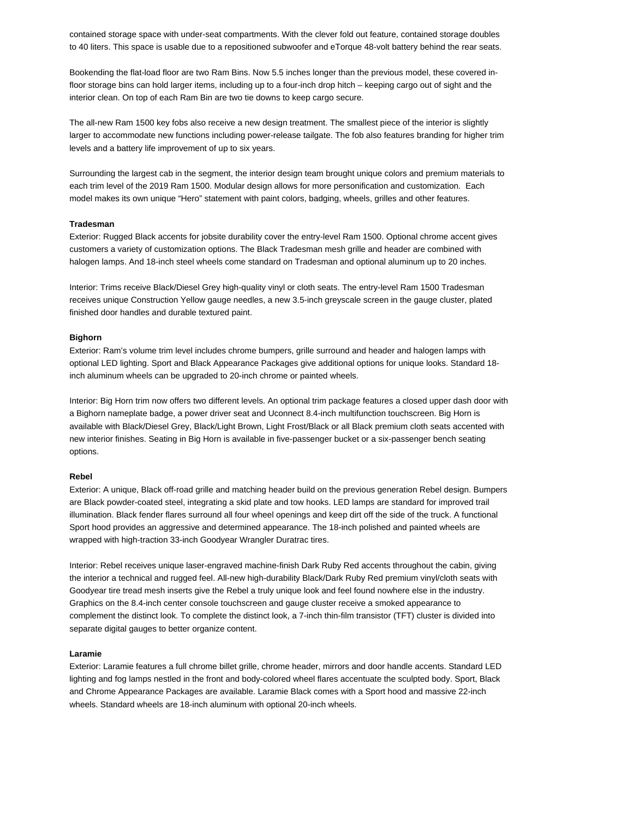contained storage space with under-seat compartments. With the clever fold out feature, contained storage doubles to 40 liters. This space is usable due to a repositioned subwoofer and eTorque 48-volt battery behind the rear seats.

Bookending the flat-load floor are two Ram Bins. Now 5.5 inches longer than the previous model, these covered infloor storage bins can hold larger items, including up to a four-inch drop hitch – keeping cargo out of sight and the interior clean. On top of each Ram Bin are two tie downs to keep cargo secure.

The all-new Ram 1500 key fobs also receive a new design treatment. The smallest piece of the interior is slightly larger to accommodate new functions including power-release tailgate. The fob also features branding for higher trim levels and a battery life improvement of up to six years.

Surrounding the largest cab in the segment, the interior design team brought unique colors and premium materials to each trim level of the 2019 Ram 1500. Modular design allows for more personification and customization. Each model makes its own unique "Hero" statement with paint colors, badging, wheels, grilles and other features.

# **Tradesman**

Exterior: Rugged Black accents for jobsite durability cover the entry-level Ram 1500. Optional chrome accent gives customers a variety of customization options. The Black Tradesman mesh grille and header are combined with halogen lamps. And 18-inch steel wheels come standard on Tradesman and optional aluminum up to 20 inches.

Interior: Trims receive Black/Diesel Grey high-quality vinyl or cloth seats. The entry-level Ram 1500 Tradesman receives unique Construction Yellow gauge needles, a new 3.5-inch greyscale screen in the gauge cluster, plated finished door handles and durable textured paint.

# **Bighorn**

Exterior: Ram's volume trim level includes chrome bumpers, grille surround and header and halogen lamps with optional LED lighting. Sport and Black Appearance Packages give additional options for unique looks. Standard 18 inch aluminum wheels can be upgraded to 20-inch chrome or painted wheels.

Interior: Big Horn trim now offers two different levels. An optional trim package features a closed upper dash door with a Bighorn nameplate badge, a power driver seat and Uconnect 8.4-inch multifunction touchscreen. Big Horn is available with Black/Diesel Grey, Black/Light Brown, Light Frost/Black or all Black premium cloth seats accented with new interior finishes. Seating in Big Horn is available in five-passenger bucket or a six-passenger bench seating options.

### **Rebel**

Exterior: A unique, Black off-road grille and matching header build on the previous generation Rebel design. Bumpers are Black powder-coated steel, integrating a skid plate and tow hooks. LED lamps are standard for improved trail illumination. Black fender flares surround all four wheel openings and keep dirt off the side of the truck. A functional Sport hood provides an aggressive and determined appearance. The 18-inch polished and painted wheels are wrapped with high-traction 33-inch Goodyear Wrangler Duratrac tires.

Interior: Rebel receives unique laser-engraved machine-finish Dark Ruby Red accents throughout the cabin, giving the interior a technical and rugged feel. All-new high-durability Black/Dark Ruby Red premium vinyl/cloth seats with Goodyear tire tread mesh inserts give the Rebel a truly unique look and feel found nowhere else in the industry. Graphics on the 8.4-inch center console touchscreen and gauge cluster receive a smoked appearance to complement the distinct look. To complete the distinct look, a 7-inch thin-film transistor (TFT) cluster is divided into separate digital gauges to better organize content.

## **Laramie**

Exterior: Laramie features a full chrome billet grille, chrome header, mirrors and door handle accents. Standard LED lighting and fog lamps nestled in the front and body-colored wheel flares accentuate the sculpted body. Sport, Black and Chrome Appearance Packages are available. Laramie Black comes with a Sport hood and massive 22-inch wheels. Standard wheels are 18-inch aluminum with optional 20-inch wheels.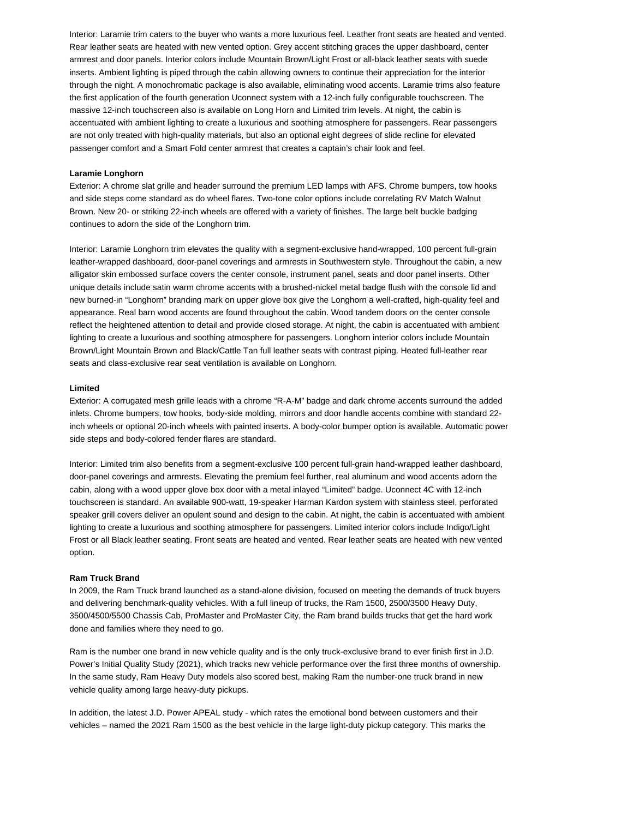Interior: Laramie trim caters to the buyer who wants a more luxurious feel. Leather front seats are heated and vented. Rear leather seats are heated with new vented option. Grey accent stitching graces the upper dashboard, center armrest and door panels. Interior colors include Mountain Brown/Light Frost or all-black leather seats with suede inserts. Ambient lighting is piped through the cabin allowing owners to continue their appreciation for the interior through the night. A monochromatic package is also available, eliminating wood accents. Laramie trims also feature the first application of the fourth generation Uconnect system with a 12-inch fully configurable touchscreen. The massive 12-inch touchscreen also is available on Long Horn and Limited trim levels. At night, the cabin is accentuated with ambient lighting to create a luxurious and soothing atmosphere for passengers. Rear passengers are not only treated with high-quality materials, but also an optional eight degrees of slide recline for elevated passenger comfort and a Smart Fold center armrest that creates a captain's chair look and feel.

#### **Laramie Longhorn**

Exterior: A chrome slat grille and header surround the premium LED lamps with AFS. Chrome bumpers, tow hooks and side steps come standard as do wheel flares. Two-tone color options include correlating RV Match Walnut Brown. New 20- or striking 22-inch wheels are offered with a variety of finishes. The large belt buckle badging continues to adorn the side of the Longhorn trim.

Interior: Laramie Longhorn trim elevates the quality with a segment-exclusive hand-wrapped, 100 percent full-grain leather-wrapped dashboard, door-panel coverings and armrests in Southwestern style. Throughout the cabin, a new alligator skin embossed surface covers the center console, instrument panel, seats and door panel inserts. Other unique details include satin warm chrome accents with a brushed-nickel metal badge flush with the console lid and new burned-in "Longhorn" branding mark on upper glove box give the Longhorn a well-crafted, high-quality feel and appearance. Real barn wood accents are found throughout the cabin. Wood tandem doors on the center console reflect the heightened attention to detail and provide closed storage. At night, the cabin is accentuated with ambient lighting to create a luxurious and soothing atmosphere for passengers. Longhorn interior colors include Mountain Brown/Light Mountain Brown and Black/Cattle Tan full leather seats with contrast piping. Heated full-leather rear seats and class-exclusive rear seat ventilation is available on Longhorn.

#### **Limited**

Exterior: A corrugated mesh grille leads with a chrome "R-A-M" badge and dark chrome accents surround the added inlets. Chrome bumpers, tow hooks, body-side molding, mirrors and door handle accents combine with standard 22 inch wheels or optional 20-inch wheels with painted inserts. A body-color bumper option is available. Automatic power side steps and body-colored fender flares are standard.

Interior: Limited trim also benefits from a segment-exclusive 100 percent full-grain hand-wrapped leather dashboard, door-panel coverings and armrests. Elevating the premium feel further, real aluminum and wood accents adorn the cabin, along with a wood upper glove box door with a metal inlayed "Limited" badge. Uconnect 4C with 12-inch touchscreen is standard. An available 900-watt, 19-speaker Harman Kardon system with stainless steel, perforated speaker grill covers deliver an opulent sound and design to the cabin. At night, the cabin is accentuated with ambient lighting to create a luxurious and soothing atmosphere for passengers. Limited interior colors include Indigo/Light Frost or all Black leather seating. Front seats are heated and vented. Rear leather seats are heated with new vented option.

# **Ram Truck Brand**

In 2009, the Ram Truck brand launched as a stand-alone division, focused on meeting the demands of truck buyers and delivering benchmark-quality vehicles. With a full lineup of trucks, the Ram 1500, 2500/3500 Heavy Duty, 3500/4500/5500 Chassis Cab, ProMaster and ProMaster City, the Ram brand builds trucks that get the hard work done and families where they need to go.

Ram is the number one brand in new vehicle quality and is the only truck-exclusive brand to ever finish first in J.D. Power's Initial Quality Study (2021), which tracks new vehicle performance over the first three months of ownership. In the same study, Ram Heavy Duty models also scored best, making Ram the number-one truck brand in new vehicle quality among large heavy-duty pickups.

In addition, the latest J.D. Power APEAL study - which rates the emotional bond between customers and their vehicles – named the 2021 Ram 1500 as the best vehicle in the large light-duty pickup category. This marks the